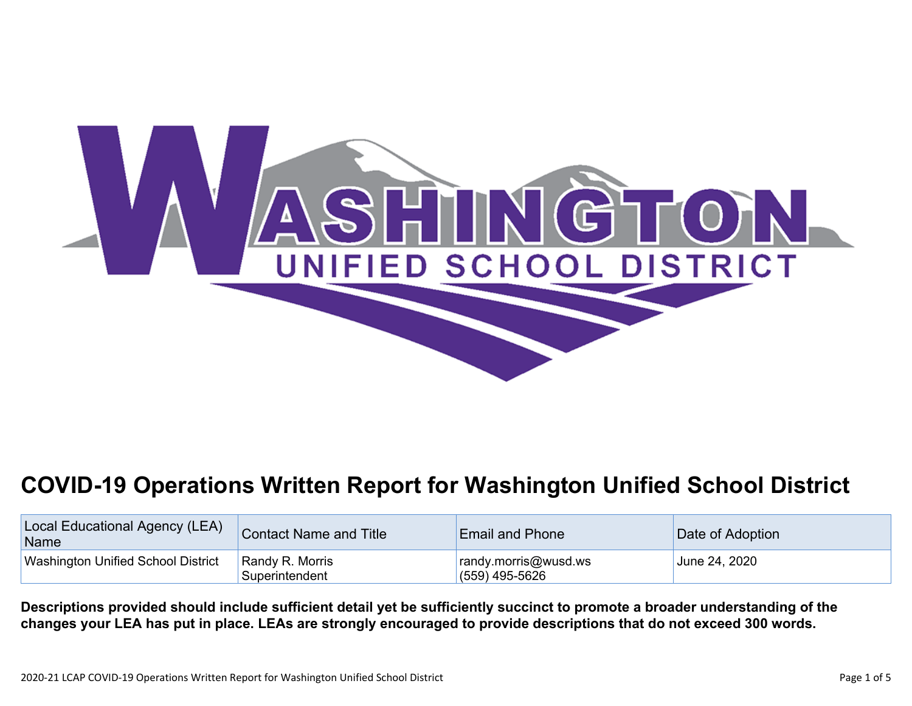

# **COVID-19 Operations Written Report for Washington Unified School District**

| Local Educational Agency (LEA)<br>Name    | <b>Contact Name and Title</b>     | <b>Email and Phone</b>                   | Date of Adoption |
|-------------------------------------------|-----------------------------------|------------------------------------------|------------------|
| <b>Washington Unified School District</b> | Randy R. Morris<br>Superintendent | randy.morris@wusd.ws<br>$(559)$ 495-5626 | June 24, 2020    |

Descriptions provided should include sufficient detail yet be sufficiently succinct to promote a broader understanding of the changes your LEA has put in place. LEAs are strongly encouraged to provide descriptions that do not exceed 300 words.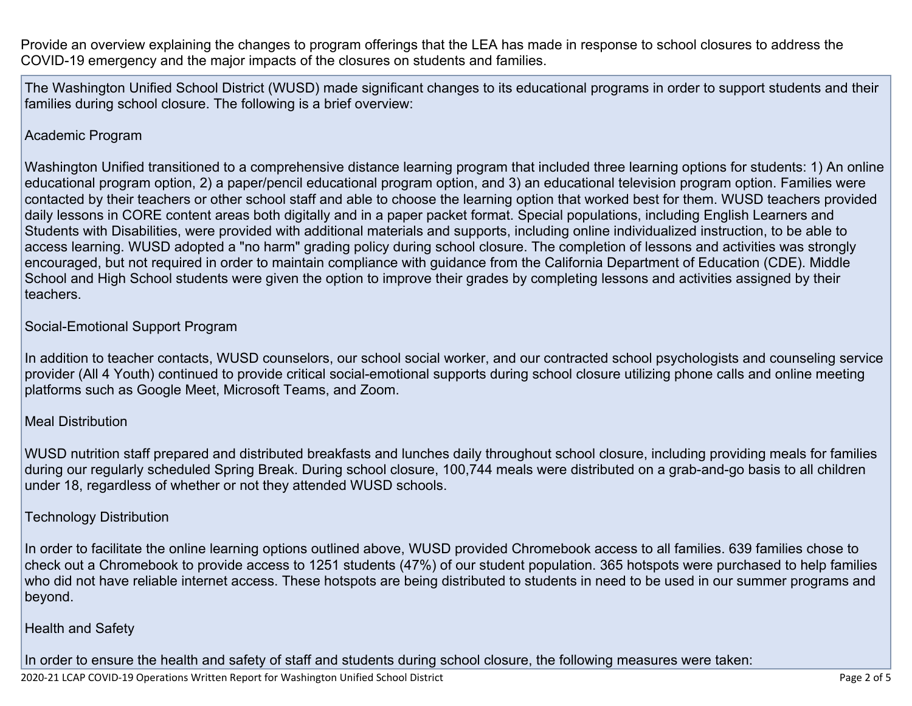Provide an overview explaining the changes to program offerings that the LEA has made in response to school closures to address the COVID-19 emergency and the major impacts of the closures on students and families.

The Washington Unified School District (WUSD) made significant changes to its educational programs in order to support students and their families during school closure. The following is a brief overview:

#### Academic Program

Washington Unified transitioned to a comprehensive distance learning program that included three learning options for students: 1) An online educational program option, 2) a paper/pencil educational program option, and 3) an educational television program option. Families were contacted by their teachers or other school staff and able to choose the learning option that worked best for them. WUSD teachers provided daily lessons in CORE content areas both digitally and in a paper packet format. Special populations, including English Learners and Students with Disabilities, were provided with additional materials and supports, including online individualized instruction, to be able to access learning. WUSD adopted a "no harm" grading policy during school closure. The completion of lessons and activities was strongly encouraged, but not required in order to maintain compliance with guidance from the California Department of Education (CDE). Middle School and High School students were given the option to improve their grades by completing lessons and activities assigned by their teachers.

#### Social-Emotional Support Program

In addition to teacher contacts, WUSD counselors, our school social worker, and our contracted school psychologists and counseling service provider (All 4 Youth) continued to provide critical social-emotional supports during school closure utilizing phone calls and online meeting platforms such as Google Meet, Microsoft Teams, and Zoom.

#### Meal Distribution

WUSD nutrition staff prepared and distributed breakfasts and lunches daily throughout school closure, including providing meals for families during our regularly scheduled Spring Break. During school closure, 100,744 meals were distributed on a grab-and-go basis to all children under 18, regardless of whether or not they attended WUSD schools.

#### Technology Distribution

In order to facilitate the online learning options outlined above, WUSD provided Chromebook access to all families. 639 families chose to check out a Chromebook to provide access to 1251 students (47%) of our student population. 365 hotspots were purchased to help families who did not have reliable internet access. These hotspots are being distributed to students in need to be used in our summer programs and beyond.

#### Health and Safety

In order to ensure the health and safety of staff and students during school closure, the following measures were taken: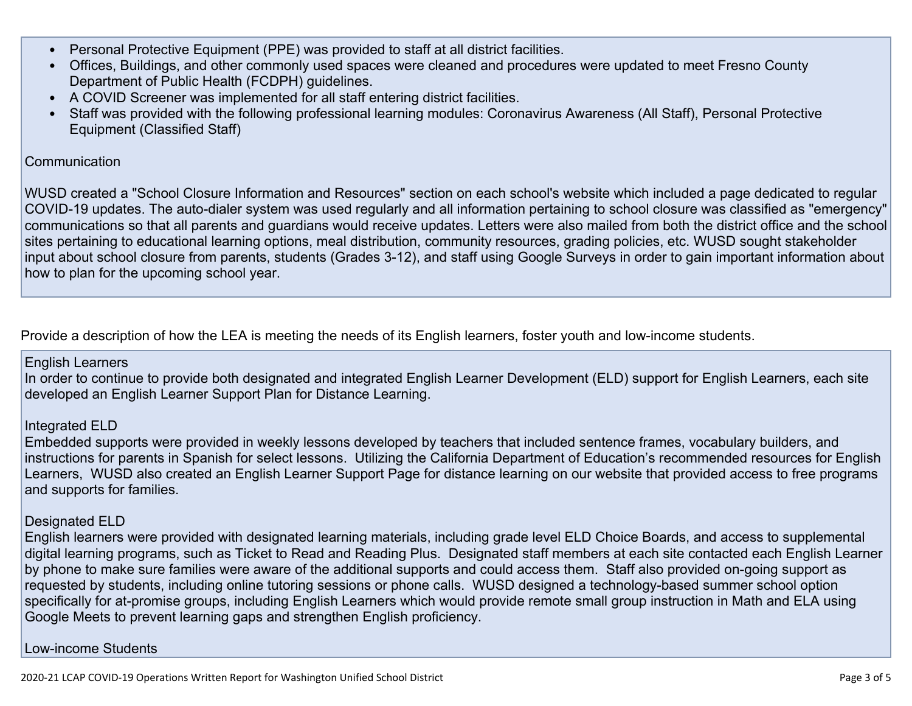- Personal Protective Equipment (PPE) was provided to staff at all district facilities.
- Offices, Buildings, and other commonly used spaces were cleaned and procedures were updated to meet Fresno County Department of Public Health (FCDPH) guidelines.
- A COVID Screener was implemented for all staff entering district facilities.
- Staff was provided with the following professional learning modules: Coronavirus Awareness (All Staff), Personal Protective Equipment (Classified Staff)

## **Communication**

WUSD created a "School Closure Information and Resources" section on each school's website which included a page dedicated to regular COVID-19 updates. The auto-dialer system was used regularly and all information pertaining to school closure was classified as "emergency" communications so that all parents and guardians would receive updates. Letters were also mailed from both the district office and the school sites pertaining to educational learning options, meal distribution, community resources, grading policies, etc. WUSD sought stakeholder input about school closure from parents, students (Grades 3-12), and staff using Google Surveys in order to gain important information about how to plan for the upcoming school year.

Provide a description of how the LEA is meeting the needs of its English learners, foster youth and low-income students.

## English Learners

In order to continue to provide both designated and integrated English Learner Development (ELD) support for English Learners, each site developed an English Learner Support Plan for Distance Learning.

## Integrated ELD

Embedded supports were provided in weekly lessons developed by teachers that included sentence frames, vocabulary builders, and instructions for parents in Spanish for select lessons. Utilizing the California Department of Education's recommended resources for English Learners, WUSD also created an English Learner Support Page for distance learning on our website that provided access to free programs and supports for families.

## Designated ELD

English learners were provided with designated learning materials, including grade level ELD Choice Boards, and access to supplemental digital learning programs, such as Ticket to Read and Reading Plus. Designated staff members at each site contacted each English Learner by phone to make sure families were aware of the additional supports and could access them. Staff also provided on-going support as requested by students, including online tutoring sessions or phone calls. WUSD designed a technology-based summer school option specifically for at-promise groups, including English Learners which would provide remote small group instruction in Math and ELA using Google Meets to prevent learning gaps and strengthen English proficiency.

## Low-income Students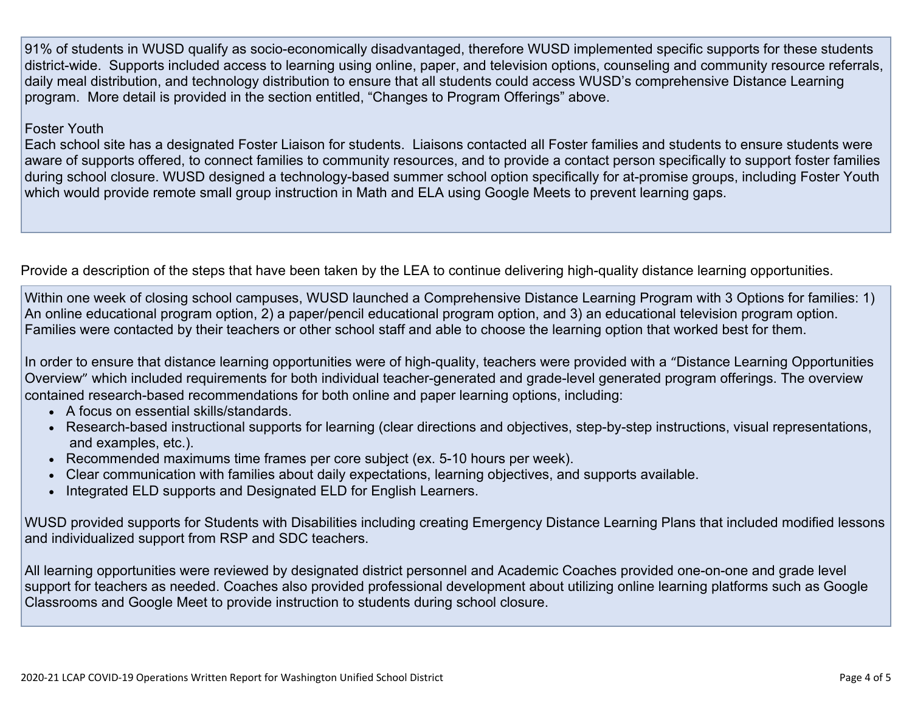91% of students in WUSD qualify as socio-economically disadvantaged, therefore WUSD implemented specific supports for these students district-wide. Supports included access to learning using online, paper, and television options, counseling and community resource referrals, daily meal distribution, and technology distribution to ensure that all students could access WUSD's comprehensive Distance Learning program. More detail is provided in the section entitled, "Changes to Program Offerings" above.

### Foster Youth

Each school site has a designated Foster Liaison for students. Liaisons contacted all Foster families and students to ensure students were aware of supports offered, to connect families to community resources, and to provide a contact person specifically to support foster families during school closure. WUSD designed a technology-based summer school option specifically for at-promise groups, including Foster Youth which would provide remote small group instruction in Math and ELA using Google Meets to prevent learning gaps.

Provide a description of the steps that have been taken by the LEA to continue delivering high-quality distance learning opportunities.

Within one week of closing school campuses, WUSD launched a Comprehensive Distance Learning Program with 3 Options for families: 1) An online educational program option, 2) a paper/pencil educational program option, and 3) an educational television program option. Families were contacted by their teachers or other school staff and able to choose the learning option that worked best for them.

In order to ensure that distance learning opportunities were of high-quality, teachers were provided with a "Distance Learning Opportunities Overview" which included requirements for both individual teacher-generated and grade-level generated program offerings. The overview contained research-based recommendations for both online and paper learning options, including:

- A focus on essential skills/standards.
- Research-based instructional supports for learning (clear directions and objectives, step-by-step instructions, visual representations, and examples, etc.).
- Recommended maximums time frames per core subject (ex. 5-10 hours per week).
- Clear communication with families about daily expectations, learning objectives, and supports available.
- Integrated ELD supports and Designated ELD for English Learners.

WUSD provided supports for Students with Disabilities including creating Emergency Distance Learning Plans that included modified lessons and individualized support from RSP and SDC teachers.

All learning opportunities were reviewed by designated district personnel and Academic Coaches provided one-on-one and grade level support for teachers as needed. Coaches also provided professional development about utilizing online learning platforms such as Google Classrooms and Google Meet to provide instruction to students during school closure.